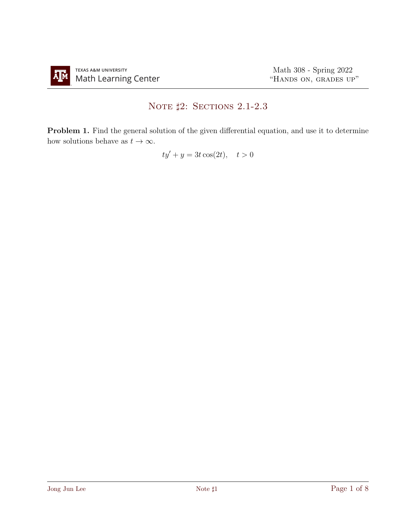## NOTE  $\sharp 2$ : Sections 2.1-2.3

Problem 1. Find the general solution of the given differential equation, and use it to determine how solutions behave as  $t \to \infty$ .

 $ty' + y = 3t \cos(2t), \quad t > 0$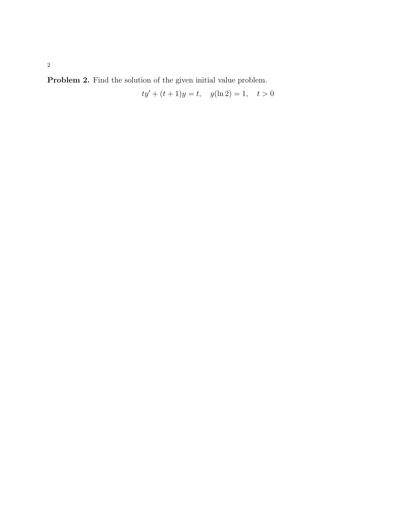Problem 2. Find the solution of the given initial value problem.

$$
ty' + (t+1)y = t
$$
,  $y(\ln 2) = 1$ ,  $t > 0$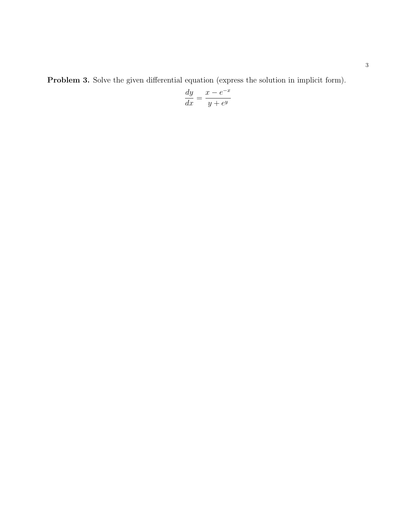Problem 3. Solve the given differential equation (express the solution in implicit form).

$$
\frac{dy}{dx} = \frac{x - e^{-x}}{y + e^y}
$$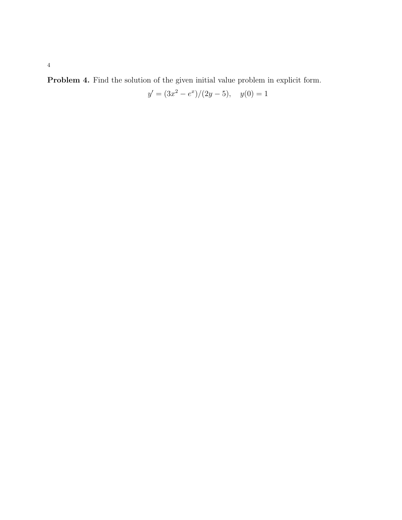Problem 4. Find the solution of the given initial value problem in explicit form.

$$
y' = (3x^2 - e^x)/(2y - 5), \quad y(0) = 1
$$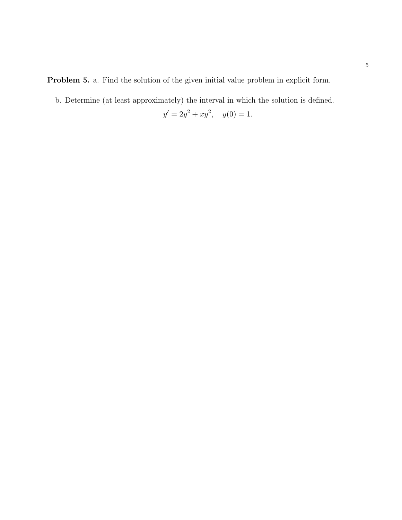Problem 5. a. Find the solution of the given initial value problem in explicit form.

b. Determine (at least approximately) the interval in which the solution is defined.

$$
y' = 2y^2 + xy^2, \quad y(0) = 1.
$$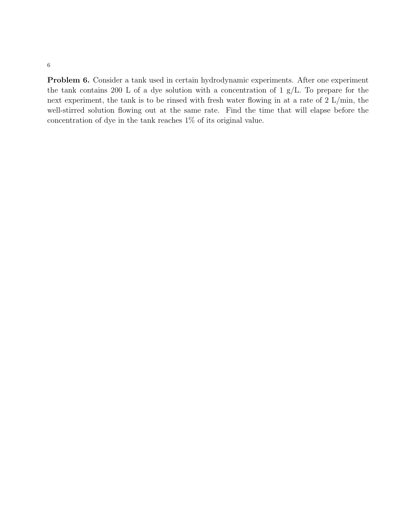6

Problem 6. Consider a tank used in certain hydrodynamic experiments. After one experiment the tank contains 200 L of a dye solution with a concentration of 1  $g/L$ . To prepare for the next experiment, the tank is to be rinsed with fresh water flowing in at a rate of 2 L/min, the well-stirred solution flowing out at the same rate. Find the time that will elapse before the concentration of dye in the tank reaches 1% of its original value.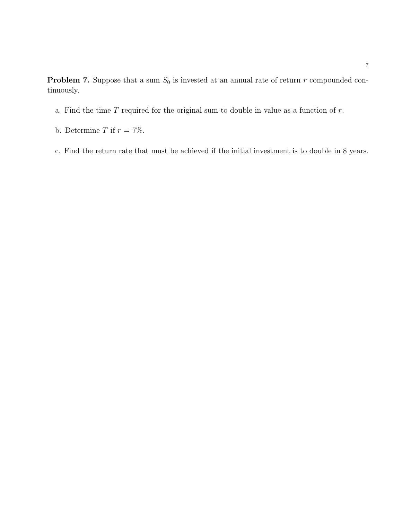**Problem 7.** Suppose that a sum  $S_0$  is invested at an annual rate of return r compounded continuously.

- a. Find the time  $T$  required for the original sum to double in value as a function of  $r$ .
- b. Determine T if  $r = 7\%$ .
- c. Find the return rate that must be achieved if the initial investment is to double in 8 years.